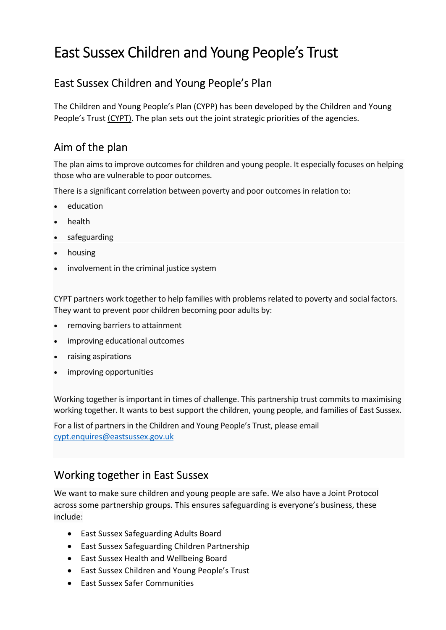# East Sussex Children and Young People's Trust

### East Sussex Children and Young People's Plan

The Children and Young People's Plan (CYPP) has been developed by the Children and Young People's Trus[t \(CYPT\).](https://www.eastsussex.gov.uk/childrenandfamilies/keypolicies/cypt/about/) The plan sets out the joint strategic priorities of the agencies.

# Aim of the plan

The plan aims to improve outcomes for children and young people. It especially focuses on helping those who are vulnerable to poor outcomes.

There is a significant correlation between poverty and poor outcomes in relation to:

- education
- health
- safeguarding
- housing
- involvement in the criminal justice system

CYPT partners work together to help families with problems related to poverty and social factors. They want to prevent poor children becoming poor adults by:

- removing barriers to attainment
- improving educational outcomes
- raising aspirations
- improving opportunities

Working together is important in times of challenge. This partnership trust commits to maximising working together. It wants to best support the children, young people, and families of East Sussex.

For a list of partners in the Children and Young People's Trust, please email [cypt.enquires@eastsussex.gov.uk](mailto:cypt.enquires@eastsussex.gov.uk)

#### Working together in East Sussex

We want to make sure children and young people are safe. We also have a Joint Protocol across some partnership groups. This ensures safeguarding is everyone's business, these include:

- East Sussex Safeguarding Adults Board
- East Sussex Safeguarding Children Partnership
- East Sussex Health and Wellbeing Board
- East Sussex Children and Young People's Trust
- East Sussex Safer Communities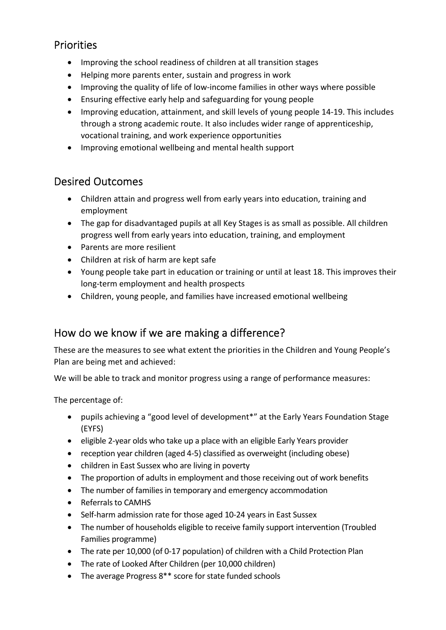# Priorities

- Improving the school readiness of children at all transition stages
- Helping more parents enter, sustain and progress in work
- Improving the quality of life of low-income families in other ways where possible
- Ensuring effective early help and safeguarding for young people
- Improving education, attainment, and skill levels of young people 14-19. This includes through a strong academic route. It also includes wider range of apprenticeship, vocational training, and work experience opportunities
- Improving emotional wellbeing and mental health support

# Desired Outcomes

- Children attain and progress well from early years into education, training and employment
- The gap for disadvantaged pupils at all Key Stages is as small as possible. All children progress well from early years into education, training, and employment
- Parents are more resilient
- Children at risk of harm are kept safe
- Young people take part in education or training or until at least 18. This improves their long-term employment and health prospects
- Children, young people, and families have increased emotional wellbeing

# How do we know if we are making a difference?

These are the measures to see what extent the priorities in the Children and Young People's Plan are being met and achieved:

We will be able to track and monitor progress using a range of performance measures:

The percentage of:

- pupils achieving a "good level of development\*" at the Early Years Foundation Stage (EYFS)
- eligible 2-year olds who take up a place with an eligible Early Years provider
- reception year children (aged 4-5) classified as overweight (including obese)
- children in East Sussex who are living in poverty
- The proportion of adults in employment and those receiving out of work benefits
- The number of families in temporary and emergency accommodation
- Referrals to CAMHS
- Self-harm admission rate for those aged 10-24 years in East Sussex
- The number of households eligible to receive family support intervention (Troubled Families programme)
- The rate per 10,000 (of 0-17 population) of children with a Child Protection Plan
- The rate of Looked After Children (per 10,000 children)
- The average Progress 8\*\* score for state funded schools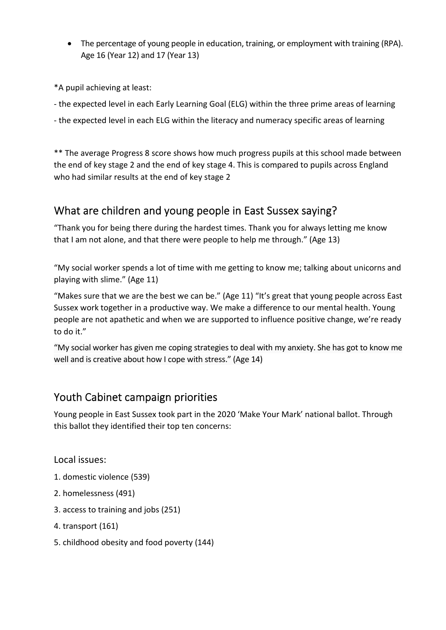• The percentage of young people in education, training, or employment with training (RPA). Age 16 (Year 12) and 17 (Year 13)

\*A pupil achieving at least:

- the expected level in each Early Learning Goal (ELG) within the three prime areas of learning

- the expected level in each ELG within the literacy and numeracy specific areas of learning

\*\* The average Progress 8 score shows how much progress pupils at this school made between the end of key stage 2 and the end of key stage 4. This is compared to pupils across England who had similar results at the end of key stage 2

# What are children and young people in East Sussex saying?

"Thank you for being there during the hardest times. Thank you for always letting me know that I am not alone, and that there were people to help me through." (Age 13)

"My social worker spends a lot of time with me getting to know me; talking about unicorns and playing with slime." (Age 11)

"Makes sure that we are the best we can be." (Age 11) "It's great that young people across East Sussex work together in a productive way. We make a difference to our mental health. Young people are not apathetic and when we are supported to influence positive change, we're ready to do it."

"My social worker has given me coping strategies to deal with my anxiety. She has got to know me well and is creative about how I cope with stress." (Age 14)

# Youth Cabinet campaign priorities

Young people in East Sussex took part in the 2020 'Make Your Mark' national ballot. Through this ballot they identified their top ten concerns:

Local issues:

- 1. domestic violence (539)
- 2. homelessness (491)
- 3. access to training and jobs (251)
- 4. transport (161)
- 5. childhood obesity and food poverty (144)